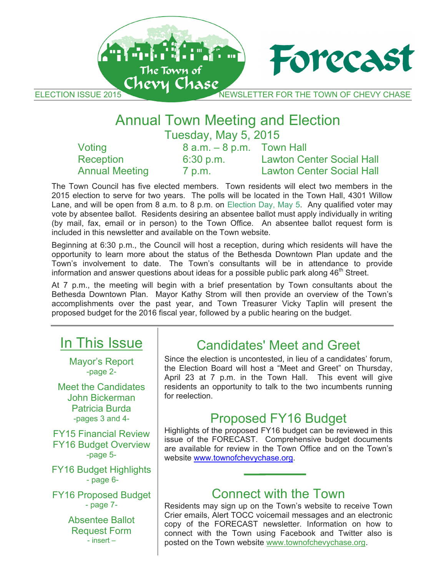THE TOWN OF CHEVY CHE CHASE AND THE TOWN OF CHEVY CH ELECTION ISSUE 2015 NEWSLETTER FOR THE TOWN OF CHEVY CHASE

Forecast

## Annual Town Meeting and Election Annual Town Meeting and Election Annual Town Meeting and Election Tuesday, May 5, 2015 Tuesday, May 5, 2015 Tuesday, May 5, 2015

An An Fritting Com

The Town of Chevy Chase

| Voting                | $8$ a.m. $-8$ p.m. Town Hall |                                  |
|-----------------------|------------------------------|----------------------------------|
| Reception             | 6:30 p.m.                    | <b>Lawton Center Social Hall</b> |
| <b>Annual Meeting</b> | 7 p.m.                       | <b>Lawton Center Social Hall</b> |

The Town Council has five elected members. Town residents will elect two members in the 2015 election to serve for two years. The polls will be located in the Town Hall, 4301 Willow Lane, and will be open from 8 a.m. to 8 p.m. on Election Day, May 5. Any qualified voter may vote by absentee ballot. Residents desiring an absentee ballot must apply individually in writing (by mail, fax, email or in person) to the Town Office. An absentee ballot request form is included in this newsletter and available on the Town website. included in this newsletter and available on the Town website. included in this newsletter and available on the Town website.

Beginning at 6:30 p.m., the Council will host a reception, during which residents will have the opportunity to learn more about the status of the Bethesda Downtown Plan update and the Town's involvement to date. The Town's consultants will be in attendance to provide it own'ts involvement to date. The Town's consultants will be in attendance to provide<br>information and answer questions about ideas for a possible public park along 46<sup>th</sup> Street.

At 7 p.m., the meeting will begin with a brief presentation by Town consultants about the Bethesda Downtown Plan. Mayor Kathy Strom will then provide an overview of the Town's accomplishments over the past year, and Town Treasurer Vicky Taplin will present the proposed budget for the 2016 fiscal year, followed by a public hearing on the budget.

# In This Issue In This Issue In This Issue

Mayor's Report Mayor's Report Mayor's Report -page 2- -page 2- -page 2-

Meet the Candidates Meet the Candidates Meet the Candidates John Bickerman John Bickerman John Bickerman Patricia Burda Patricia Burda Patricia Burda -pages 3 and 4- -pages 3 and 4- -pages 3 and 4-

FY15 Financial Review FY15 Financial Review FY15 Financial Review FY16 Budget Overview FY16 Budget Overview FY16 Budget Overview -page 5- -page 5- -page 5-

FY16 Budget Highlights FY16 Budget Highlights FY16 Budget Highlights - page 6- - page 6- - page 6-

FY16 Proposed Budget FY16 Proposed Budget FY16 Proposed Budget - page 7- - page 7- - page 7-

> Absentee Ballot Absentee Ballot Absentee Ballot Request Form Request Form Request Form - insert – - insert – - insert –

# Candidates' Meet and Greet Candidates' Meet and Greet Candidates' Meet and Greet

Since the election is uncontested, in lieu of a candidates' forum, Since the election is uncontested, in lieu of a candidates' forum, Since the election is uncontested, in lieu of a candidates' forum, the Election Board will host a "Meet and Greet" on Thursday, the Election Board will host a "Meet and Greet" on Thursday, the Election Board will host a "Meet and Greet" on Thursday, April 23 at 7 p.m. in the Town Hall. This event will give April 23 at 7 p.m. in the Town Hall. This event will give April 23 at 7 p.m. in the Town Hall. This event will give residents an opportunity to talk to the two incumbents running residents an opportunity to talk to the two incumbents running residents an opportunity to talk to the two incumbents running for reelection. for reelection. for reelection.

# Proposed FY16 Budget Proposed FY16 Budget Proposed FY16 Budget

Highlights of the proposed FY16 budget can be reviewed in this Highlights of the proposed FY16 budget can be reviewed in this Highlights of the proposed FY16 budget can be reviewed in this issue of the FORECAST. Comprehensive budget documents issue of the FORECAST. Comprehensive budget documents issue of the FORECAST. Comprehensive budget documents are available for review in the Town Office and on the Town's are available for review in the Town Office and on the Town's are available for review in the Town Office and on the Town's website www.townofchevychase.org.

# Connect with the Town Connect with the Town Connect with the Town

Residents may sign up on the Town's website to receive Town Residents may sign up on the Town's website to receive Town Residents may sign up on the Town's website to receive Town Crier emails, Alert TOCC voicemail messages and an electronic Crier emails, Alert TOCC voicemail messages and an electronic Crier emails, Alert TOCC voicemail messages and an electronic copy of the FORECAST newsletter. Information on how to copy of the FORECAST newsletter. Information on how to copy of the FORECAST newsletter. Information on how to connect with the Town using Facebook and Twitter also is connect with the Town using Facebook and Twitter also is connect with the Town using Facebook and Twitter also is posted on the Town website www.townofchevychase.org. posted on the Town website www.townofchevychase.org. posted on the Town website www.townofchevychase.org.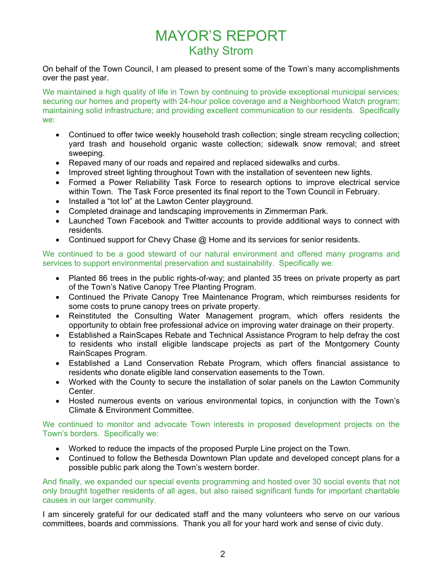## MAYOR'S REPORT Kathy Strom

On behalf of the Town Council, I am pleased to present some of the Town's many accomplishments over the past year.

We maintained a high quality of life in Town by continuing to provide exceptional municipal services; securing our homes and property with 24-hour police coverage and a Neighborhood Watch program; maintaining solid infrastructure; and providing excellent communication to our residents. Specifically we:

- Continued to offer twice weekly household trash collection; single stream recycling collection; yard trash and household organic waste collection; sidewalk snow removal; and street sweeping.
- Repaved many of our roads and repaired and replaced sidewalks and curbs.
- Improved street lighting throughout Town with the installation of seventeen new lights.
- Formed a Power Reliability Task Force to research options to improve electrical service within Town. The Task Force presented its final report to the Town Council in February.
- Installed a "tot lot" at the Lawton Center playground.
- Completed drainage and landscaping improvements in Zimmerman Park.
- Launched Town Facebook and Twitter accounts to provide additional ways to connect with residents.
- Continued support for Chevy Chase @ Home and its services for senior residents.

We continued to be a good steward of our natural environment and offered many programs and services to support environmental preservation and sustainability. Specifically we:

- Planted 86 trees in the public rights-of-way; and planted 35 trees on private property as part of the Town's Native Canopy Tree Planting Program.
- Continued the Private Canopy Tree Maintenance Program, which reimburses residents for some costs to prune canopy trees on private property.
- Reinstituted the Consulting Water Management program, which offers residents the opportunity to obtain free professional advice on improving water drainage on their property.
- Established a RainScapes Rebate and Technical Assistance Program to help defray the cost to residents who install eligible landscape projects as part of the Montgomery County RainScapes Program.
- Established a Land Conservation Rebate Program, which offers financial assistance to residents who donate eligible land conservation easements to the Town.
- Worked with the County to secure the installation of solar panels on the Lawton Community Center.
- Hosted numerous events on various environmental topics, in conjunction with the Town's Climate & Environment Committee.

We continued to monitor and advocate Town interests in proposed development projects on the Town's borders. Specifically we:

- Worked to reduce the impacts of the proposed Purple Line project on the Town.
- Continued to follow the Bethesda Downtown Plan update and developed concept plans for a possible public park along the Town's western border.

And finally, we expanded our special events programming and hosted over 30 social events that not only brought together residents of all ages, but also raised significant funds for important charitable causes in our larger community.

I am sincerely grateful for our dedicated staff and the many volunteers who serve on our various committees, boards and commissions. Thank you all for your hard work and sense of civic duty.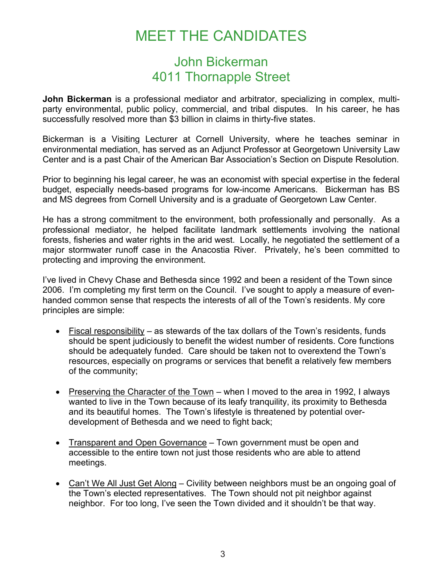# MEET THE CANDIDATES

### John Bickerman 4011 Thornapple Street

**John Bickerman** is a professional mediator and arbitrator, specializing in complex, multiparty environmental, public policy, commercial, and tribal disputes. In his career, he has successfully resolved more than \$3 billion in claims in thirty-five states.

Bickerman is a Visiting Lecturer at Cornell University, where he teaches seminar in environmental mediation, has served as an Adjunct Professor at Georgetown University Law Center and is a past Chair of the American Bar Association's Section on Dispute Resolution.

Prior to beginning his legal career, he was an economist with special expertise in the federal budget, especially needs-based programs for low-income Americans. Bickerman has BS and MS degrees from Cornell University and is a graduate of Georgetown Law Center.

He has a strong commitment to the environment, both professionally and personally. As a professional mediator, he helped facilitate landmark settlements involving the national forests, fisheries and water rights in the arid west. Locally, he negotiated the settlement of a major stormwater runoff case in the Anacostia River. Privately, he's been committed to protecting and improving the environment.

I've lived in Chevy Chase and Bethesda since 1992 and been a resident of the Town since 2006. I'm completing my first term on the Council. I've sought to apply a measure of evenhanded common sense that respects the interests of all of the Town's residents. My core principles are simple:

- Fiscal responsibility as stewards of the tax dollars of the Town's residents, funds should be spent judiciously to benefit the widest number of residents. Core functions should be adequately funded. Care should be taken not to overextend the Town's resources, especially on programs or services that benefit a relatively few members of the community;
- Preserving the Character of the Town when I moved to the area in 1992, I always wanted to live in the Town because of its leafy tranquility, its proximity to Bethesda and its beautiful homes. The Town's lifestyle is threatened by potential overdevelopment of Bethesda and we need to fight back;
- Transparent and Open Governance Town government must be open and accessible to the entire town not just those residents who are able to attend meetings.
- Can't We All Just Get Along Civility between neighbors must be an ongoing goal of the Town's elected representatives. The Town should not pit neighbor against neighbor. For too long, I've seen the Town divided and it shouldn't be that way.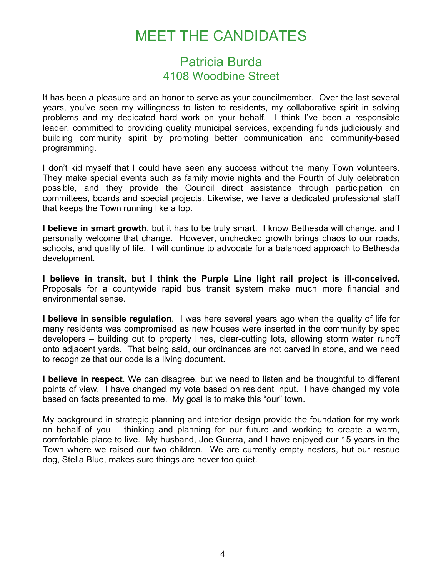# MEET THE CANDIDATES

### Patricia Burda 4108 Woodbine Street

It has been a pleasure and an honor to serve as your councilmember. Over the last several years, you've seen my willingness to listen to residents, my collaborative spirit in solving problems and my dedicated hard work on your behalf. I think I've been a responsible leader, committed to providing quality municipal services, expending funds judiciously and building community spirit by promoting better communication and community-based programming.

I don't kid myself that I could have seen any success without the many Town volunteers. They make special events such as family movie nights and the Fourth of July celebration possible, and they provide the Council direct assistance through participation on committees, boards and special projects. Likewise, we have a dedicated professional staff that keeps the Town running like a top.

**I believe in smart growth**, but it has to be truly smart. I know Bethesda will change, and I personally welcome that change. However, unchecked growth brings chaos to our roads, schools, and quality of life. I will continue to advocate for a balanced approach to Bethesda development.

**I believe in transit, but I think the Purple Line light rail project is ill-conceived.**  Proposals for a countywide rapid bus transit system make much more financial and environmental sense.

**I believe in sensible regulation**. I was here several years ago when the quality of life for many residents was compromised as new houses were inserted in the community by spec developers – building out to property lines, clear-cutting lots, allowing storm water runoff onto adjacent yards. That being said, our ordinances are not carved in stone, and we need to recognize that our code is a living document.

**I believe in respect**. We can disagree, but we need to listen and be thoughtful to different points of view. I have changed my vote based on resident input. I have changed my vote based on facts presented to me. My goal is to make this "our" town.

My background in strategic planning and interior design provide the foundation for my work on behalf of you – thinking and planning for our future and working to create a warm, comfortable place to live. My husband, Joe Guerra, and I have enjoyed our 15 years in the Town where we raised our two children. We are currently empty nesters, but our rescue dog, Stella Blue, makes sure things are never too quiet.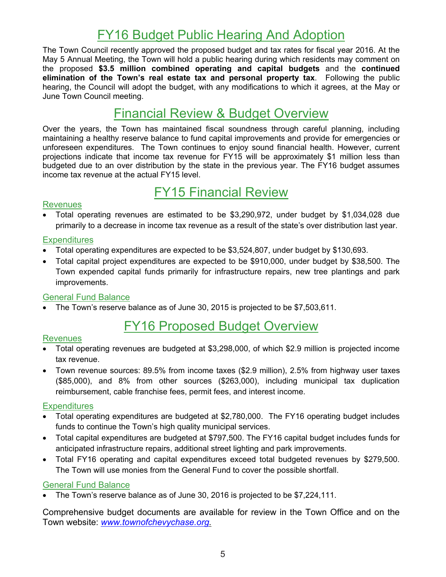## FY16 Budget Public Hearing And Adoption

The Town Council recently approved the proposed budget and tax rates for fiscal year 2016. At the May 5 Annual Meeting, the Town will hold a public hearing during which residents may comment on the proposed **\$3.5 million combined operating and capital budgets** and the **continued elimination of the Town's real estate tax and personal property tax**. Following the public hearing, the Council will adopt the budget, with any modifications to which it agrees, at the May or June Town Council meeting.

### Financial Review & Budget Overview

Over the years, the Town has maintained fiscal soundness through careful planning, including maintaining a healthy reserve balance to fund capital improvements and provide for emergencies or unforeseen expenditures. The Town continues to enjoy sound financial health. However, current projections indicate that income tax revenue for FY15 will be approximately \$1 million less than budgeted due to an over distribution by the state in the previous year. The FY16 budget assumes income tax revenue at the actual FY15 level.

### FY15 Financial Review

#### Revenues

 Total operating revenues are estimated to be \$3,290,972, under budget by \$1,034,028 due primarily to a decrease in income tax revenue as a result of the state's over distribution last year.

#### **Expenditures**

- Total operating expenditures are expected to be \$3,524,807, under budget by \$130,693.
- Total capital project expenditures are expected to be \$910,000, under budget by \$38,500. The Town expended capital funds primarily for infrastructure repairs, new tree plantings and park improvements.

#### General Fund Balance

The Town's reserve balance as of June 30, 2015 is projected to be \$7,503,611.

### FY16 Proposed Budget Overview

#### Revenues

- Total operating revenues are budgeted at \$3,298,000, of which \$2.9 million is projected income tax revenue.
- Town revenue sources: 89.5% from income taxes (\$2.9 million), 2.5% from highway user taxes (\$85,000), and 8% from other sources (\$263,000), including municipal tax duplication reimbursement, cable franchise fees, permit fees, and interest income.

#### **Expenditures**

- Total operating expenditures are budgeted at \$2,780,000. The FY16 operating budget includes funds to continue the Town's high quality municipal services.
- Total capital expenditures are budgeted at \$797,500. The FY16 capital budget includes funds for anticipated infrastructure repairs, additional street lighting and park improvements.
- Total FY16 operating and capital expenditures exceed total budgeted revenues by \$279,500. The Town will use monies from the General Fund to cover the possible shortfall.

#### General Fund Balance

The Town's reserve balance as of June 30, 2016 is projected to be \$7,224,111.

Comprehensive budget documents are available for review in the Town Office and on the Town website: *www.townofchevychase.org.*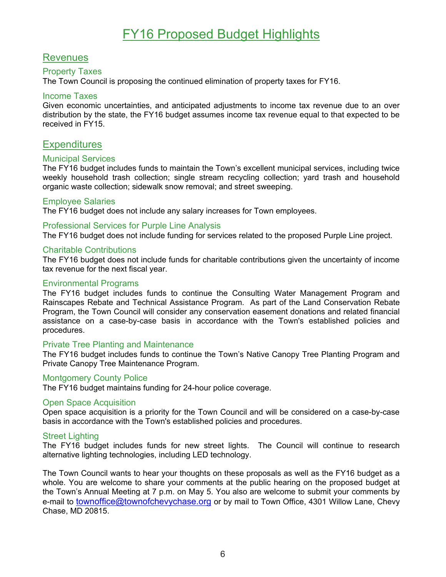## FY16 Proposed Budget Highlights

#### Revenues

#### Property Taxes

The Town Council is proposing the continued elimination of property taxes for FY16.

#### Income Taxes

Given economic uncertainties, and anticipated adjustments to income tax revenue due to an over distribution by the state, the FY16 budget assumes income tax revenue equal to that expected to be received in FY15.

#### **Expenditures**

#### Municipal Services

The FY16 budget includes funds to maintain the Town's excellent municipal services, including twice weekly household trash collection; single stream recycling collection; yard trash and household organic waste collection; sidewalk snow removal; and street sweeping.

#### Employee Salaries

The FY16 budget does not include any salary increases for Town employees.

#### Professional Services for Purple Line Analysis

The FY16 budget does not include funding for services related to the proposed Purple Line project.

#### Charitable Contributions

The FY16 budget does not include funds for charitable contributions given the uncertainty of income tax revenue for the next fiscal year.

#### Environmental Programs

The FY16 budget includes funds to continue the Consulting Water Management Program and Rainscapes Rebate and Technical Assistance Program. As part of the Land Conservation Rebate Program, the Town Council will consider any conservation easement donations and related financial assistance on a case-by-case basis in accordance with the Town's established policies and procedures.

#### Private Tree Planting and Maintenance

The FY16 budget includes funds to continue the Town's Native Canopy Tree Planting Program and Private Canopy Tree Maintenance Program.

#### Montgomery County Police

The FY16 budget maintains funding for 24-hour police coverage.

#### Open Space Acquisition

Open space acquisition is a priority for the Town Council and will be considered on a case-by-case basis in accordance with the Town's established policies and procedures.

#### Street Lighting

The FY16 budget includes funds for new street lights. The Council will continue to research alternative lighting technologies, including LED technology.

The Town Council wants to hear your thoughts on these proposals as well as the FY16 budget as a whole. You are welcome to share your comments at the public hearing on the proposed budget at the Town's Annual Meeting at 7 p.m. on May 5. You also are welcome to submit your comments by e-mail to townoffice@townofchevychase.org or by mail to Town Office, 4301 Willow Lane, Chevy Chase, MD 20815.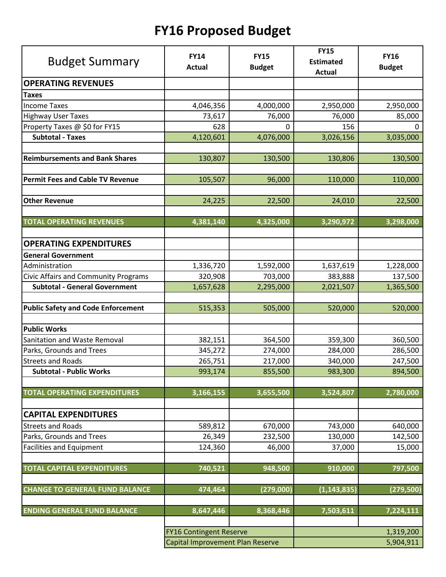# **FY16 Proposed Budget**

| <b>Budget Summary</b>                       | <b>FY14</b>                      | <b>FY15</b>   | <b>FY15</b><br><b>Estimated</b> | <b>FY16</b>   |
|---------------------------------------------|----------------------------------|---------------|---------------------------------|---------------|
|                                             | <b>Actual</b>                    | <b>Budget</b> | <b>Actual</b>                   | <b>Budget</b> |
| <b>OPERATING REVENUES</b>                   |                                  |               |                                 |               |
| <b>Taxes</b>                                |                                  |               |                                 |               |
| <b>Income Taxes</b>                         | 4,046,356                        | 4,000,000     | 2,950,000                       | 2,950,000     |
| <b>Highway User Taxes</b>                   | 73,617                           | 76,000        | 76,000                          | 85,000        |
| Property Taxes @ \$0 for FY15               | 628                              | 0             | 156                             | 0             |
| <b>Subtotal - Taxes</b>                     | 4,120,601                        | 4,076,000     | 3,026,156                       | 3,035,000     |
| <b>Reimbursements and Bank Shares</b>       | 130,807                          | 130,500       | 130,806                         | 130,500       |
|                                             |                                  |               |                                 |               |
| <b>Permit Fees and Cable TV Revenue</b>     | 105,507                          | 96,000        | 110,000                         | 110,000       |
| <b>Other Revenue</b>                        | 24,225                           | 22,500        | 24,010                          | 22,500        |
| <b>TOTAL OPERATING REVENUES</b>             | 4,381,140                        | 4,325,000     | 3,290,972                       |               |
|                                             |                                  |               |                                 | 3,298,000     |
| <b>OPERATING EXPENDITURES</b>               |                                  |               |                                 |               |
| <b>General Government</b>                   |                                  |               |                                 |               |
| Administration                              | 1,336,720                        | 1,592,000     | 1,637,619                       | 1,228,000     |
| <b>Civic Affairs and Community Programs</b> | 320,908                          | 703,000       | 383,888                         | 137,500       |
| <b>Subtotal - General Government</b>        | 1,657,628                        | 2,295,000     | 2,021,507                       | 1,365,500     |
|                                             |                                  |               |                                 |               |
| <b>Public Safety and Code Enforcement</b>   | 515,353                          | 505,000       | 520,000                         | 520,000       |
|                                             |                                  |               |                                 |               |
| <b>Public Works</b>                         |                                  |               |                                 |               |
| Sanitation and Waste Removal                | 382,151                          | 364,500       | 359,300                         | 360,500       |
| Parks, Grounds and Trees                    | 345,272                          | 274,000       | 284,000                         | 286,500       |
| <b>Streets and Roads</b>                    | 265,751                          | 217,000       | 340,000                         | 247,500       |
| <b>Subtotal - Public Works</b>              | 993,174                          | 855,500       | 983,300                         | 894,500       |
| <b>TOTAL OPERATING EXPENDITURES</b>         | 3,166,155                        | 3,655,500     | 3,524,807                       | 2,780,000     |
| <b>CAPITAL EXPENDITURES</b>                 |                                  |               |                                 |               |
| <b>Streets and Roads</b>                    | 589,812                          | 670,000       | 743,000                         | 640,000       |
| Parks, Grounds and Trees                    | 26,349                           | 232,500       | 130,000                         | 142,500       |
| Facilities and Equipment                    | 124,360                          | 46,000        | 37,000                          | 15,000        |
|                                             |                                  |               |                                 |               |
| <b>TOTAL CAPITAL EXPENDITURES</b>           | 740,521                          | 948,500       | 910,000                         | 797,500       |
| <b>CHANGE TO GENERAL FUND BALANCE</b>       | 474,464                          | (279,000)     | (1, 143, 835)                   | (279, 500)    |
| <b>ENDING GENERAL FUND BALANCE</b>          | 8,647,446                        | 8,368,446     | 7,503,611                       | 7,224,111     |
|                                             |                                  |               |                                 |               |
|                                             | <b>FY16 Contingent Reserve</b>   |               |                                 | 1,319,200     |
|                                             | Capital Improvement Plan Reserve |               |                                 | 5,904,911     |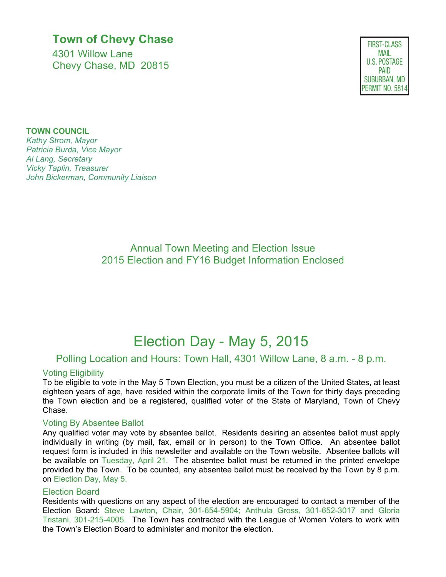### **Town of Chevy Chase**

4301 Willow Lane Chevy Chase, MD 20815

FIRST-CLASS MAIL U.S. POSTAGE PAID SUBURBAN, MD PERMIT NO. 5814

#### **TOWN COUNCIL**

*Kathy Strom, Mayor Patricia Burda, Vice Mayor Al Lang, Secretary Vicky Taplin, Treasurer John Bickerman, Community Liaison* 

> Annual Town Meeting and Election Issue 2015 Election and FY16 Budget Information Enclosed

## Election Day - May 5, 2015

#### Polling Location and Hours: Town Hall, 4301 Willow Lane, 8 a.m. - 8 p.m.

#### Voting Eligibility

To be eligible to vote in the May 5 Town Election, you must be a citizen of the United States, at least eighteen years of age, have resided within the corporate limits of the Town for thirty days preceding the Town election and be a registered, qualified voter of the State of Maryland, Town of Chevy Chase.

#### Voting By Absentee Ballot

Any qualified voter may vote by absentee ballot. Residents desiring an absentee ballot must apply individually in writing (by mail, fax, email or in person) to the Town Office. An absentee ballot request form is included in this newsletter and available on the Town website. Absentee ballots will be available on Tuesday, April 21. The absentee ballot must be returned in the printed envelope provided by the Town. To be counted, any absentee ballot must be received by the Town by 8 p.m. on Election Day, May 5.

#### Election Board

Residents with questions on any aspect of the election are encouraged to contact a member of the Election Board: Steve Lawton, Chair, 301-654-5904; Anthula Gross, 301-652-3017 and Gloria Tristani, 301-215-4005. The Town has contracted with the League of Women Voters to work with the Town's Election Board to administer and monitor the election.